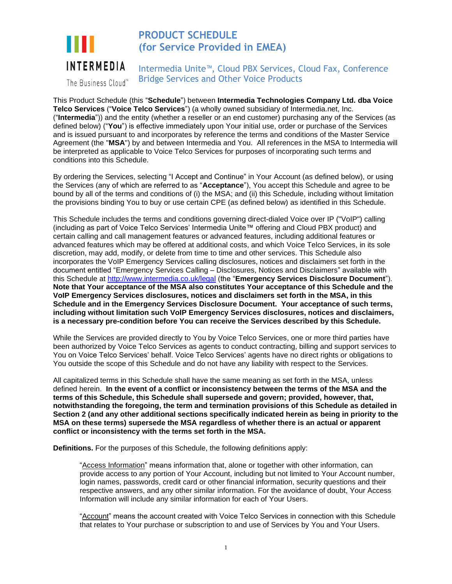

# **PRODUCT SCHEDULE (for Service Provided in EMEA)**

Intermedia Unite™, Cloud PBX Services, Cloud Fax, Conference Bridge Services and Other Voice Products

The Business Cloud™

This Product Schedule (this "**Schedule**") between **Intermedia Technologies Company Ltd. dba Voice Telco Services** ("**Voice Telco Services**") (a wholly owned subsidiary of Intermedia.net, Inc. ("**Intermedia**")) and the entity (whether a reseller or an end customer) purchasing any of the Services (as defined below) ("**You**") is effective immediately upon Your initial use, order or purchase of the Services and is issued pursuant to and incorporates by reference the terms and conditions of the Master Service Agreement (the "**MSA**") by and between Intermedia and You. All references in the MSA to Intermedia will be interpreted as applicable to Voice Telco Services for purposes of incorporating such terms and conditions into this Schedule.

By ordering the Services, selecting "I Accept and Continue" in Your Account (as defined below), or using the Services (any of which are referred to as "**Acceptance**"), You accept this Schedule and agree to be bound by all of the terms and conditions of (i) the MSA; and (ii) this Schedule, including without limitation the provisions binding You to buy or use certain CPE (as defined below) as identified in this Schedule.

This Schedule includes the terms and conditions governing direct-dialed Voice over IP ("VoIP") calling (including as part of Voice Telco Services' Intermedia Unite™ offering and Cloud PBX product) and certain calling and call management features or advanced features, including additional features or advanced features which may be offered at additional costs, and which Voice Telco Services, in its sole discretion, may add, modify, or delete from time to time and other services. This Schedule also incorporates the VoIP Emergency Services calling disclosures, notices and disclaimers set forth in the document entitled "Emergency Services Calling – Disclosures, Notices and Disclaimers" available with this Schedule at<http://www.intermedia.co.uk/legal> (the "**Emergency Services Disclosure Document**"). **Note that Your acceptance of the MSA also constitutes Your acceptance of this Schedule and the VoIP Emergency Services disclosures, notices and disclaimers set forth in the MSA, in this Schedule and in the Emergency Services Disclosure Document. Your acceptance of such terms, including without limitation such VoIP Emergency Services disclosures, notices and disclaimers, is a necessary pre-condition before You can receive the Services described by this Schedule.** 

While the Services are provided directly to You by Voice Telco Services, one or more third parties have been authorized by Voice Telco Services as agents to conduct contracting, billing and support services to You on Voice Telco Services' behalf. Voice Telco Services' agents have no direct rights or obligations to You outside the scope of this Schedule and do not have any liability with respect to the Services.

All capitalized terms in this Schedule shall have the same meaning as set forth in the MSA, unless defined herein. **In the event of a conflict or inconsistency between the terms of the MSA and the terms of this Schedule, this Schedule shall supersede and govern; provided, however, that, notwithstanding the foregoing, the term and termination provisions of this Schedule as detailed in Section 2 (and any other additional sections specifically indicated herein as being in priority to the MSA on these terms) supersede the MSA regardless of whether there is an actual or apparent conflict or inconsistency with the terms set forth in the MSA.**

**Definitions.** For the purposes of this Schedule, the following definitions apply:

"Access Information" means information that, alone or together with other information, can provide access to any portion of Your Account, including but not limited to Your Account number, login names, passwords, credit card or other financial information, security questions and their respective answers, and any other similar information. For the avoidance of doubt, Your Access Information will include any similar information for each of Your Users.

"Account" means the account created with Voice Telco Services in connection with this Schedule that relates to Your purchase or subscription to and use of Services by You and Your Users.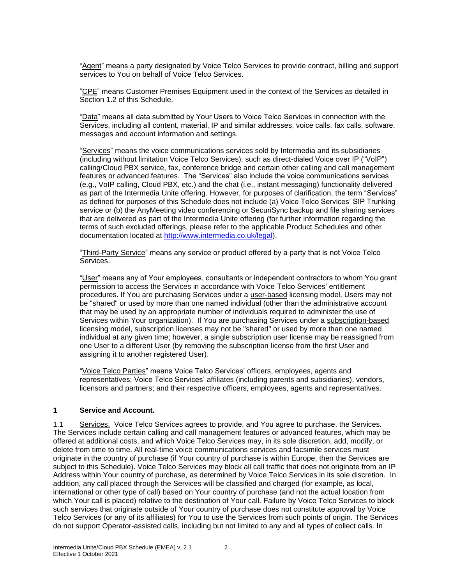"Agent" means a party designated by Voice Telco Services to provide contract, billing and support services to You on behalf of Voice Telco Services.

"CPE" means Customer Premises Equipment used in the context of the Services as detailed in Section 1.2 of this Schedule.

"Data" means all data submitted by Your Users to Voice Telco Services in connection with the Services, including all content, material, IP and similar addresses, voice calls, fax calls, software, messages and account information and settings.

"Services" means the voice communications services sold by Intermedia and its subsidiaries (including without limitation Voice Telco Services), such as direct-dialed Voice over IP ("VoIP") calling/Cloud PBX service, fax, conference bridge and certain other calling and call management features or advanced features. The "Services" also include the voice communications services (e.g., VoIP calling, Cloud PBX, etc.) and the chat (i.e., instant messaging) functionality delivered as part of the Intermedia Unite offering. However, for purposes of clarification, the term "Services" as defined for purposes of this Schedule does not include (a) Voice Telco Services' SIP Trunking service or (b) the AnyMeeting video conferencing or SecuriSync backup and file sharing services that are delivered as part of the Intermedia Unite offering (for further information regarding the terms of such excluded offerings, please refer to the applicable Product Schedules and other documentation located at [http://www.intermedia.co.uk/legal\)](http://www.intermedia.co.uk/legal).

"Third-Party Service" means any service or product offered by a party that is not Voice Telco Services.

"User" means any of Your employees, consultants or independent contractors to whom You grant permission to access the Services in accordance with Voice Telco Services' entitlement procedures. If You are purchasing Services under a user-based licensing model, Users may not be "shared" or used by more than one named individual (other than the administrative account that may be used by an appropriate number of individuals required to administer the use of Services within Your organization). If You are purchasing Services under a subscription-based licensing model, subscription licenses may not be "shared" or used by more than one named individual at any given time; however, a single subscription user license may be reassigned from one User to a different User (by removing the subscription license from the first User and assigning it to another registered User).

"Voice Telco Parties" means Voice Telco Services' officers, employees, agents and representatives; Voice Telco Services' affiliates (including parents and subsidiaries), vendors, licensors and partners; and their respective officers, employees, agents and representatives.

#### **1 Service and Account.**

1.1 Services. Voice Telco Services agrees to provide, and You agree to purchase, the Services. The Services include certain calling and call management features or advanced features, which may be offered at additional costs, and which Voice Telco Services may, in its sole discretion, add, modify, or delete from time to time. All real-time voice communications services and facsimile services must originate in the country of purchase (if Your country of purchase is within Europe, then the Services are subject to this Schedule). Voice Telco Services may block all call traffic that does not originate from an IP Address within Your country of purchase, as determined by Voice Telco Services in its sole discretion. In addition, any call placed through the Services will be classified and charged (for example, as local, international or other type of call) based on Your country of purchase (and not the actual location from which Your call is placed) relative to the destination of Your call. Failure by Voice Telco Services to block such services that originate outside of Your country of purchase does not constitute approval by Voice Telco Services (or any of its affiliates) for You to use the Services from such points of origin. The Services do not support Operator-assisted calls, including but not limited to any and all types of collect calls. In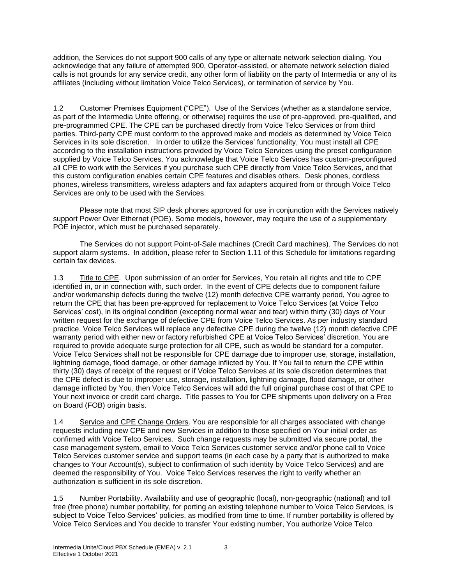addition, the Services do not support 900 calls of any type or alternate network selection dialing. You acknowledge that any failure of attempted 900, Operator-assisted, or alternate network selection dialed calls is not grounds for any service credit, any other form of liability on the party of Intermedia or any of its affiliates (including without limitation Voice Telco Services), or termination of service by You.

1.2 Customer Premises Equipment ("CPE"). Use of the Services (whether as a standalone service, as part of the Intermedia Unite offering, or otherwise) requires the use of pre-approved, pre-qualified, and pre-programmed CPE. The CPE can be purchased directly from Voice Telco Services or from third parties. Third-party CPE must conform to the approved make and models as determined by Voice Telco Services in its sole discretion. In order to utilize the Services' functionality, You must install all CPE according to the installation instructions provided by Voice Telco Services using the preset configuration supplied by Voice Telco Services. You acknowledge that Voice Telco Services has custom-preconfigured all CPE to work with the Services if you purchase such CPE directly from Voice Telco Services, and that this custom configuration enables certain CPE features and disables others. Desk phones, cordless phones, wireless transmitters, wireless adapters and fax adapters acquired from or through Voice Telco Services are only to be used with the Services.

Please note that most SIP desk phones approved for use in conjunction with the Services natively support Power Over Ethernet (POE). Some models, however, may require the use of a supplementary POE injector, which must be purchased separately.

The Services do not support Point-of-Sale machines (Credit Card machines). The Services do not support alarm systems. In addition, please refer to Section 1.11 of this Schedule for limitations regarding certain fax devices.

1.3 Title to CPE. Upon submission of an order for Services, You retain all rights and title to CPE identified in, or in connection with, such order. In the event of CPE defects due to component failure and/or workmanship defects during the twelve (12) month defective CPE warranty period, You agree to return the CPE that has been pre-approved for replacement to Voice Telco Services (at Voice Telco Services' cost), in its original condition (excepting normal wear and tear) within thirty (30) days of Your written request for the exchange of defective CPE from Voice Telco Services. As per industry standard practice, Voice Telco Services will replace any defective CPE during the twelve (12) month defective CPE warranty period with either new or factory refurbished CPE at Voice Telco Services' discretion. You are required to provide adequate surge protection for all CPE, such as would be standard for a computer. Voice Telco Services shall not be responsible for CPE damage due to improper use, storage, installation, lightning damage, flood damage, or other damage inflicted by You. If You fail to return the CPE within thirty (30) days of receipt of the request or if Voice Telco Services at its sole discretion determines that the CPE defect is due to improper use, storage, installation, lightning damage, flood damage, or other damage inflicted by You, then Voice Telco Services will add the full original purchase cost of that CPE to Your next invoice or credit card charge. Title passes to You for CPE shipments upon delivery on a Free on Board (FOB) origin basis.

1.4 Service and CPE Change Orders. You are responsible for all charges associated with change requests including new CPE and new Services in addition to those specified on Your initial order as confirmed with Voice Telco Services. Such change requests may be submitted via secure portal, the case management system, email to Voice Telco Services customer service and/or phone call to Voice Telco Services customer service and support teams (in each case by a party that is authorized to make changes to Your Account(s), subject to confirmation of such identity by Voice Telco Services) and are deemed the responsibility of You. Voice Telco Services reserves the right to verify whether an authorization is sufficient in its sole discretion.

1.5 Number Portability. Availability and use of geographic (local), non-geographic (national) and toll free (free phone) number portability, for porting an existing telephone number to Voice Telco Services, is subject to Voice Telco Services' policies, as modified from time to time. If number portability is offered by Voice Telco Services and You decide to transfer Your existing number, You authorize Voice Telco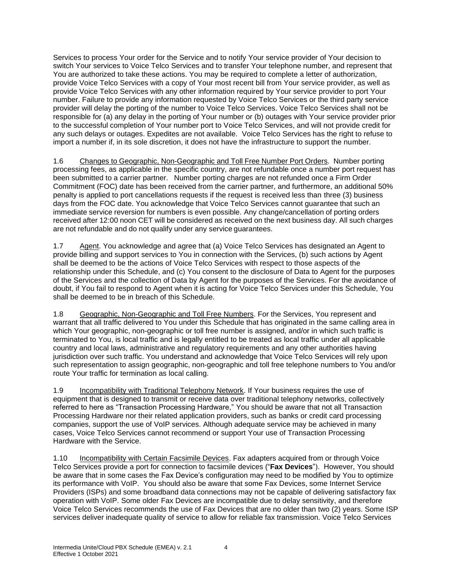Services to process Your order for the Service and to notify Your service provider of Your decision to switch Your services to Voice Telco Services and to transfer Your telephone number, and represent that You are authorized to take these actions. You may be required to complete a letter of authorization, provide Voice Telco Services with a copy of Your most recent bill from Your service provider, as well as provide Voice Telco Services with any other information required by Your service provider to port Your number. Failure to provide any information requested by Voice Telco Services or the third party service provider will delay the porting of the number to Voice Telco Services. Voice Telco Services shall not be responsible for (a) any delay in the porting of Your number or (b) outages with Your service provider prior to the successful completion of Your number port to Voice Telco Services, and will not provide credit for any such delays or outages. Expedites are not available. Voice Telco Services has the right to refuse to import a number if, in its sole discretion, it does not have the infrastructure to support the number.

1.6 Changes to Geographic, Non-Geographic and Toll Free Number Port Orders*.* Number porting processing fees, as applicable in the specific country, are not refundable once a number port request has been submitted to a carrier partner. Number porting charges are not refunded once a Firm Order Commitment (FOC) date has been received from the carrier partner, and furthermore, an additional 50% penalty is applied to port cancellations requests if the request is received less than three (3) business days from the FOC date. You acknowledge that Voice Telco Services cannot guarantee that such an immediate service reversion for numbers is even possible. Any change/cancellation of porting orders received after 12:00 noon CET will be considered as received on the next business day. All such charges are not refundable and do not qualify under any service guarantees.

1.7 Agent. You acknowledge and agree that (a) Voice Telco Services has designated an Agent to provide billing and support services to You in connection with the Services, (b) such actions by Agent shall be deemed to be the actions of Voice Telco Services with respect to those aspects of the relationship under this Schedule, and (c) You consent to the disclosure of Data to Agent for the purposes of the Services and the collection of Data by Agent for the purposes of the Services. For the avoidance of doubt, if You fail to respond to Agent when it is acting for Voice Telco Services under this Schedule, You shall be deemed to be in breach of this Schedule.

1.8 Geographic, Non-Geographic and Toll Free Numbers. For the Services, You represent and warrant that all traffic delivered to You under this Schedule that has originated in the same calling area in which Your geographic, non-geographic or toll free number is assigned, and/or in which such traffic is terminated to You, is local traffic and is legally entitled to be treated as local traffic under all applicable country and local laws, administrative and regulatory requirements and any other authorities having jurisdiction over such traffic. You understand and acknowledge that Voice Telco Services will rely upon such representation to assign geographic, non-geographic and toll free telephone numbers to You and/or route Your traffic for termination as local calling.

1.9 Incompatibility with Traditional Telephony Network. If Your business requires the use of equipment that is designed to transmit or receive data over traditional telephony networks, collectively referred to here as "Transaction Processing Hardware," You should be aware that not all Transaction Processing Hardware nor their related application providers, such as banks or credit card processing companies, support the use of VoIP services. Although adequate service may be achieved in many cases, Voice Telco Services cannot recommend or support Your use of Transaction Processing Hardware with the Service.

1.10 Incompatibility with Certain Facsimile Devices. Fax adapters acquired from or through Voice Telco Services provide a port for connection to facsimile devices ("**Fax Devices**"). However, You should be aware that in some cases the Fax Device's configuration may need to be modified by You to optimize its performance with VoIP. You should also be aware that some Fax Devices, some Internet Service Providers (ISPs) and some broadband data connections may not be capable of delivering satisfactory fax operation with VoIP. Some older Fax Devices are incompatible due to delay sensitivity, and therefore Voice Telco Services recommends the use of Fax Devices that are no older than two (2) years. Some ISP services deliver inadequate quality of service to allow for reliable fax transmission. Voice Telco Services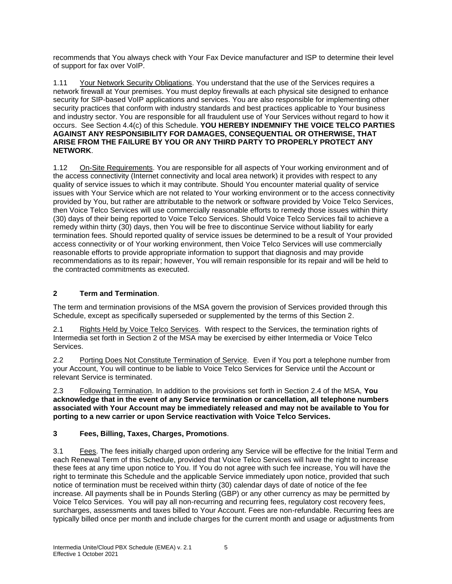recommends that You always check with Your Fax Device manufacturer and ISP to determine their level of support for fax over VoIP.

1.11 Your Network Security Obligations. You understand that the use of the Services requires a network firewall at Your premises. You must deploy firewalls at each physical site designed to enhance security for SIP-based VoIP applications and services. You are also responsible for implementing other security practices that conform with industry standards and best practices applicable to Your business and industry sector. You are responsible for all fraudulent use of Your Services without regard to how it occurs. See Section 4.4(c) of this Schedule. **YOU HEREBY INDEMNIFY THE VOICE TELCO PARTIES AGAINST ANY RESPONSIBILITY FOR DAMAGES, CONSEQUENTIAL OR OTHERWISE, THAT ARISE FROM THE FAILURE BY YOU OR ANY THIRD PARTY TO PROPERLY PROTECT ANY NETWORK**.

1.12 On-Site Requirements. You are responsible for all aspects of Your working environment and of the access connectivity (Internet connectivity and local area network) it provides with respect to any quality of service issues to which it may contribute. Should You encounter material quality of service issues with Your Service which are not related to Your working environment or to the access connectivity provided by You, but rather are attributable to the network or software provided by Voice Telco Services, then Voice Telco Services will use commercially reasonable efforts to remedy those issues within thirty (30) days of their being reported to Voice Telco Services. Should Voice Telco Services fail to achieve a remedy within thirty (30) days, then You will be free to discontinue Service without liability for early termination fees. Should reported quality of service issues be determined to be a result of Your provided access connectivity or of Your working environment, then Voice Telco Services will use commercially reasonable efforts to provide appropriate information to support that diagnosis and may provide recommendations as to its repair; however, You will remain responsible for its repair and will be held to the contracted commitments as executed.

# **2 Term and Termination**.

The term and termination provisions of the MSA govern the provision of Services provided through this Schedule, except as specifically superseded or supplemented by the terms of this Section 2.

2.1 Rights Held by Voice Telco Services. With respect to the Services, the termination rights of Intermedia set forth in Section 2 of the MSA may be exercised by either Intermedia or Voice Telco Services.

2.2 Porting Does Not Constitute Termination of Service. Even if You port a telephone number from your Account, You will continue to be liable to Voice Telco Services for Service until the Account or relevant Service is terminated.

2.3 Following Termination. In addition to the provisions set forth in Section 2.4 of the MSA, **You acknowledge that in the event of any Service termination or cancellation, all telephone numbers associated with Your Account may be immediately released and may not be available to You for porting to a new carrier or upon Service reactivation with Voice Telco Services.**

# **3 Fees, Billing, Taxes, Charges, Promotions**.

3.1 Fees. The fees initially charged upon ordering any Service will be effective for the Initial Term and each Renewal Term of this Schedule, provided that Voice Telco Services will have the right to increase these fees at any time upon notice to You. If You do not agree with such fee increase, You will have the right to terminate this Schedule and the applicable Service immediately upon notice, provided that such notice of termination must be received within thirty (30) calendar days of date of notice of the fee increase. All payments shall be in Pounds Sterling (GBP) or any other currency as may be permitted by Voice Telco Services. You will pay all non-recurring and recurring fees, regulatory cost recovery fees, surcharges, assessments and taxes billed to Your Account. Fees are non-refundable. Recurring fees are typically billed once per month and include charges for the current month and usage or adjustments from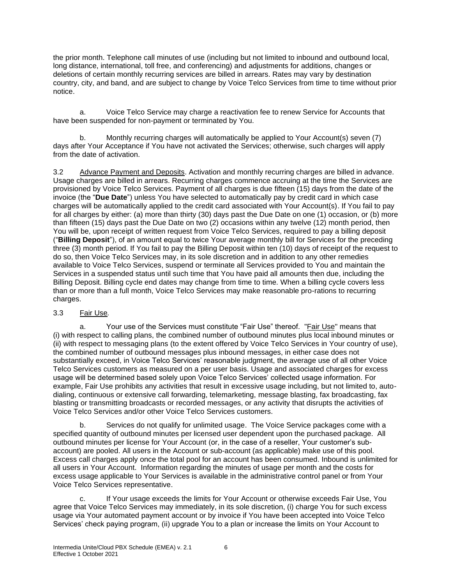the prior month. Telephone call minutes of use (including but not limited to inbound and outbound local, long distance, international, toll free, and conferencing) and adjustments for additions, changes or deletions of certain monthly recurring services are billed in arrears. Rates may vary by destination country, city, and band, and are subject to change by Voice Telco Services from time to time without prior notice.

a. Voice Telco Service may charge a reactivation fee to renew Service for Accounts that have been suspended for non-payment or terminated by You.

b. Monthly recurring charges will automatically be applied to Your Account(s) seven (7) days after Your Acceptance if You have not activated the Services; otherwise, such charges will apply from the date of activation.

3.2 Advance Payment and Deposits. Activation and monthly recurring charges are billed in advance. Usage charges are billed in arrears. Recurring charges commence accruing at the time the Services are provisioned by Voice Telco Services. Payment of all charges is due fifteen (15) days from the date of the invoice (the "**Due Date**") unless You have selected to automatically pay by credit card in which case charges will be automatically applied to the credit card associated with Your Account(s). If You fail to pay for all charges by either: (a) more than thirty (30) days past the Due Date on one (1) occasion, or (b) more than fifteen (15) days past the Due Date on two (2) occasions within any twelve (12) month period, then You will be, upon receipt of written request from Voice Telco Services, required to pay a billing deposit ("**Billing Deposit**"), of an amount equal to twice Your average monthly bill for Services for the preceding three (3) month period. If You fail to pay the Billing Deposit within ten (10) days of receipt of the request to do so, then Voice Telco Services may, in its sole discretion and in addition to any other remedies available to Voice Telco Services, suspend or terminate all Services provided to You and maintain the Services in a suspended status until such time that You have paid all amounts then due, including the Billing Deposit. Billing cycle end dates may change from time to time. When a billing cycle covers less than or more than a full month, Voice Telco Services may make reasonable pro-rations to recurring charges.

### 3.3 Fair Use*.*

a. Your use of the Services must constitute "Fair Use" thereof. "Fair Use" means that (i) with respect to calling plans, the combined number of outbound minutes plus local inbound minutes or (ii) with respect to messaging plans (to the extent offered by Voice Telco Services in Your country of use), the combined number of outbound messages plus inbound messages, in either case does not substantially exceed, in Voice Telco Services' reasonable judgment, the average use of all other Voice Telco Services customers as measured on a per user basis. Usage and associated charges for excess usage will be determined based solely upon Voice Telco Services' collected usage information. For example, Fair Use prohibits any activities that result in excessive usage including, but not limited to, autodialing, continuous or extensive call forwarding, telemarketing, message blasting, fax broadcasting, fax blasting or transmitting broadcasts or recorded messages, or any activity that disrupts the activities of Voice Telco Services and/or other Voice Telco Services customers.

b. Services do not qualify for unlimited usage. The Voice Service packages come with a specified quantity of outbound minutes per licensed user dependent upon the purchased package. All outbound minutes per license for Your Account (or, in the case of a reseller, Your customer's subaccount) are pooled. All users in the Account or sub-account (as applicable) make use of this pool. Excess call charges apply once the total pool for an account has been consumed. Inbound is unlimited for all users in Your Account. Information regarding the minutes of usage per month and the costs for excess usage applicable to Your Services is available in the administrative control panel or from Your Voice Telco Services representative.

c. If Your usage exceeds the limits for Your Account or otherwise exceeds Fair Use, You agree that Voice Telco Services may immediately, in its sole discretion, (i) charge You for such excess usage via Your automated payment account or by invoice if You have been accepted into Voice Telco Services' check paying program, (ii) upgrade You to a plan or increase the limits on Your Account to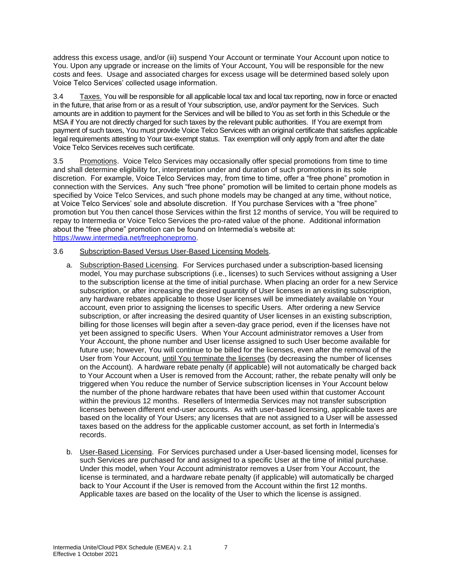address this excess usage, and/or (iii) suspend Your Account or terminate Your Account upon notice to You. Upon any upgrade or increase on the limits of Your Account, You will be responsible for the new costs and fees. Usage and associated charges for excess usage will be determined based solely upon Voice Telco Services' collected usage information.

3.4 Taxes. You will be responsible for all applicable local tax and local tax reporting, now in force or enacted in the future, that arise from or as a result of Your subscription, use, and/or payment for the Services. Such amounts are in addition to payment for the Services and will be billed to You as set forth in this Schedule or the MSA if You are not directly charged for such taxes by the relevant public authorities. If You are exempt from payment of such taxes, You must provide Voice Telco Services with an original certificate that satisfies applicable legal requirements attesting to Your tax-exempt status. Tax exemption will only apply from and after the date Voice Telco Services receives such certificate.

3.5 Promotions.Voice Telco Services may occasionally offer special promotions from time to time and shall determine eligibility for, interpretation under and duration of such promotions in its sole discretion.For example, Voice Telco Services may, from time to time, offer a "free phone" promotion in connection with the Services. Any such "free phone" promotion will be limited to certain phone models as specified by Voice Telco Services, and such phone models may be changed at any time, without notice, at Voice Telco Services' sole and absolute discretion. If You purchase Services with a "free phone" promotion but You then cancel those Services within the first 12 months of service, You will be required to repay to Intermedia or Voice Telco Services the pro-rated value of the phone. Additional information about the "free phone" promotion can be found on Intermedia's website at: [https://www.intermedia.net/freephonepromo.](https://www.intermedia.net/freephonepromo)

#### 3.6 Subscription-Based Versus User-Based Licensing Models.

- a. Subscription-Based Licensing. For Services purchased under a subscription-based licensing model, You may purchase subscriptions (i.e., licenses) to such Services without assigning a User to the subscription license at the time of initial purchase. When placing an order for a new Service subscription, or after increasing the desired quantity of User licenses in an existing subscription, any hardware rebates applicable to those User licenses will be immediately available on Your account, even prior to assigning the licenses to specific Users. After ordering a new Service subscription, or after increasing the desired quantity of User licenses in an existing subscription, billing for those licenses will begin after a seven-day grace period, even if the licenses have not yet been assigned to specific Users. When Your Account administrator removes a User from Your Account, the phone number and User license assigned to such User become available for future use; however, You will continue to be billed for the licenses, even after the removal of the User from Your Account, until You terminate the licenses (by decreasing the number of licenses on the Account). A hardware rebate penalty (if applicable) will not automatically be charged back to Your Account when a User is removed from the Account; rather, the rebate penalty will only be triggered when You reduce the number of Service subscription licenses in Your Account below the number of the phone hardware rebates that have been used within that customer Account within the previous 12 months. Resellers of Intermedia Services may not transfer subscription licenses between different end-user accounts. As with user-based licensing, applicable taxes are based on the locality of Your Users; any licenses that are not assigned to a User will be assessed taxes based on the address for the applicable customer account, as set forth in Intermedia's records.
- b. User-Based Licensing. For Services purchased under a User-based licensing model, licenses for such Services are purchased for and assigned to a specific User at the time of initial purchase. Under this model, when Your Account administrator removes a User from Your Account, the license is terminated, and a hardware rebate penalty (if applicable) will automatically be charged back to Your Account if the User is removed from the Account within the first 12 months. Applicable taxes are based on the locality of the User to which the license is assigned.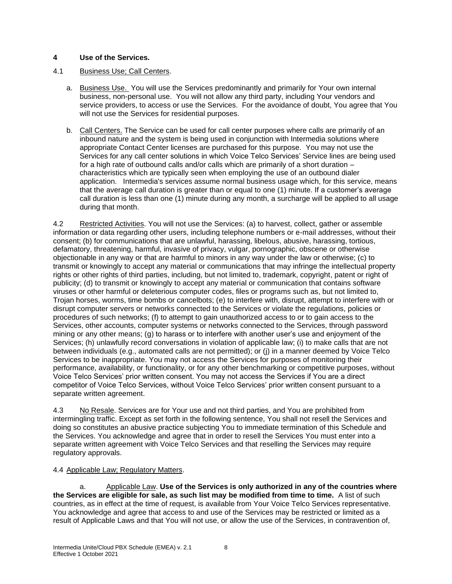### **4 Use of the Services.**

## 4.1 Business Use; Call Centers.

- a. Business Use. You will use the Services predominantly and primarily for Your own internal business, non-personal use. You will not allow any third party, including Your vendors and service providers, to access or use the Services. For the avoidance of doubt, You agree that You will not use the Services for residential purposes.
- b. Call Centers. The Service can be used for call center purposes where calls are primarily of an inbound nature and the system is being used in conjunction with Intermedia solutions where appropriate Contact Center licenses are purchased for this purpose. You may not use the Services for any call center solutions in which Voice Telco Services' Service lines are being used for a high rate of outbound calls and/or calls which are primarily of a short duration – characteristics which are typically seen when employing the use of an outbound dialer application. Intermedia's services assume normal business usage which, for this service, means that the average call duration is greater than or equal to one (1) minute. If a customer's average call duration is less than one (1) minute during any month, a surcharge will be applied to all usage during that month.

4.2 Restricted Activities. You will not use the Services: (a) to harvest, collect, gather or assemble information or data regarding other users, including telephone numbers or e-mail addresses, without their consent; (b) for communications that are unlawful, harassing, libelous, abusive, harassing, tortious, defamatory, threatening, harmful, invasive of privacy, vulgar, pornographic, obscene or otherwise objectionable in any way or that are harmful to minors in any way under the law or otherwise; (c) to transmit or knowingly to accept any material or communications that may infringe the intellectual property rights or other rights of third parties, including, but not limited to, trademark, copyright, patent or right of publicity; (d) to transmit or knowingly to accept any material or communication that contains software viruses or other harmful or deleterious computer codes, files or programs such as, but not limited to, Trojan horses, worms, time bombs or cancelbots; (e) to interfere with, disrupt, attempt to interfere with or disrupt computer servers or networks connected to the Services or violate the regulations, policies or procedures of such networks; (f) to attempt to gain unauthorized access to or to gain access to the Services, other accounts, computer systems or networks connected to the Services, through password mining or any other means; (g) to harass or to interfere with another user's use and enjoyment of the Services; (h) unlawfully record conversations in violation of applicable law; (i) to make calls that are not between individuals (e.g., automated calls are not permitted); or (j) in a manner deemed by Voice Telco Services to be inappropriate. You may not access the Services for purposes of monitoring their performance, availability, or functionality, or for any other benchmarking or competitive purposes, without Voice Telco Services' prior written consent. You may not access the Services if You are a direct competitor of Voice Telco Services, without Voice Telco Services' prior written consent pursuant to a separate written agreement.

4.3 No Resale. Services are for Your use and not third parties, and You are prohibited from intermingling traffic. Except as set forth in the following sentence, You shall not resell the Services and doing so constitutes an abusive practice subjecting You to immediate termination of this Schedule and the Services. You acknowledge and agree that in order to resell the Services You must enter into a separate written agreement with Voice Telco Services and that reselling the Services may require regulatory approvals.

### 4.4 Applicable Law; Regulatory Matters.

a. Applicable Law. **Use of the Services is only authorized in any of the countries where the Services are eligible for sale, as such list may be modified from time to time.** A list of such countries, as in effect at the time of request, is available from Your Voice Telco Services representative. You acknowledge and agree that access to and use of the Services may be restricted or limited as a result of Applicable Laws and that You will not use, or allow the use of the Services, in contravention of,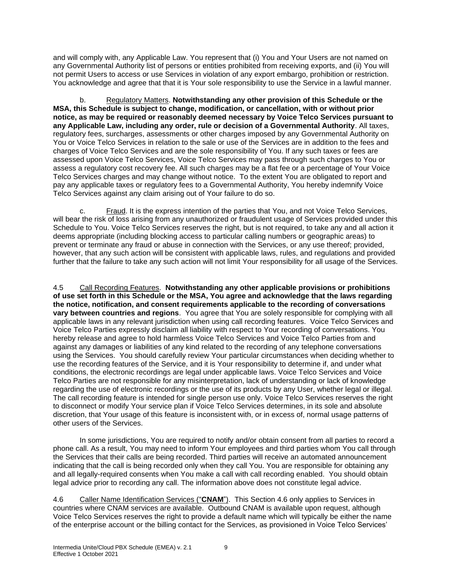and will comply with, any Applicable Law. You represent that (i) You and Your Users are not named on any Governmental Authority list of persons or entities prohibited from receiving exports, and (ii) You will not permit Users to access or use Services in violation of any export embargo, prohibition or restriction. You acknowledge and agree that that it is Your sole responsibility to use the Service in a lawful manner.

b. Regulatory Matters. **Notwithstanding any other provision of this Schedule or the MSA, this Schedule is subject to change, modification, or cancellation, with or without prior notice, as may be required or reasonably deemed necessary by Voice Telco Services pursuant to any Applicable Law, including any order, rule or decision of a Governmental Authority**. All taxes, regulatory fees, surcharges, assessments or other charges imposed by any Governmental Authority on You or Voice Telco Services in relation to the sale or use of the Services are in addition to the fees and charges of Voice Telco Services and are the sole responsibility of You. If any such taxes or fees are assessed upon Voice Telco Services, Voice Telco Services may pass through such charges to You or assess a regulatory cost recovery fee. All such charges may be a flat fee or a percentage of Your Voice Telco Services charges and may change without notice. To the extent You are obligated to report and pay any applicable taxes or regulatory fees to a Governmental Authority, You hereby indemnify Voice Telco Services against any claim arising out of Your failure to do so.

c. Fraud. It is the express intention of the parties that You, and not Voice Telco Services, will bear the risk of loss arising from any unauthorized or fraudulent usage of Services provided under this Schedule to You. Voice Telco Services reserves the right, but is not required, to take any and all action it deems appropriate (including blocking access to particular calling numbers or geographic areas) to prevent or terminate any fraud or abuse in connection with the Services, or any use thereof; provided, however, that any such action will be consistent with applicable laws, rules, and regulations and provided further that the failure to take any such action will not limit Your responsibility for all usage of the Services.

4.5 Call Recording Features. **Notwithstanding any other applicable provisions or prohibitions of use set forth in this Schedule or the MSA, You agree and acknowledge that the laws regarding the notice, notification, and consent requirements applicable to the recording of conversations vary between countries and regions**. You agree that You are solely responsible for complying with all applicable laws in any relevant jurisdiction when using call recording features. Voice Telco Services and Voice Telco Parties expressly disclaim all liability with respect to Your recording of conversations. You hereby release and agree to hold harmless Voice Telco Services and Voice Telco Parties from and against any damages or liabilities of any kind related to the recording of any telephone conversations using the Services. You should carefully review Your particular circumstances when deciding whether to use the recording features of the Service, and it is Your responsibility to determine if, and under what conditions, the electronic recordings are legal under applicable laws. Voice Telco Services and Voice Telco Parties are not responsible for any misinterpretation, lack of understanding or lack of knowledge regarding the use of electronic recordings or the use of its products by any User, whether legal or illegal. The call recording feature is intended for single person use only. Voice Telco Services reserves the right to disconnect or modify Your service plan if Voice Telco Services determines, in its sole and absolute discretion, that Your usage of this feature is inconsistent with, or in excess of, normal usage patterns of other users of the Services.

In some jurisdictions, You are required to notify and/or obtain consent from all parties to record a phone call. As a result, You may need to inform Your employees and third parties whom You call through the Services that their calls are being recorded. Third parties will receive an automated announcement indicating that the call is being recorded only when they call You. You are responsible for obtaining any and all legally-required consents when You make a call with call recording enabled. You should obtain legal advice prior to recording any call. The information above does not constitute legal advice.

4.6 Caller Name Identification Services ("**CNAM**"). This Section 4.6 only applies to Services in countries where CNAM services are available. Outbound CNAM is available upon request, although Voice Telco Services reserves the right to provide a default name which will typically be either the name of the enterprise account or the billing contact for the Services, as provisioned in Voice Telco Services'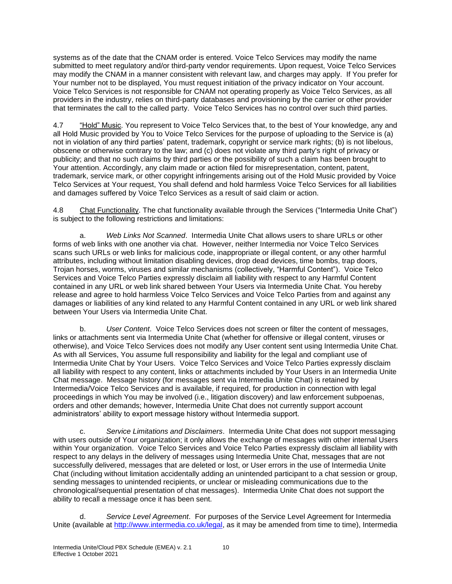systems as of the date that the CNAM order is entered. Voice Telco Services may modify the name submitted to meet regulatory and/or third-party vendor requirements. Upon request, Voice Telco Services may modify the CNAM in a manner consistent with relevant law, and charges may apply. If You prefer for Your number not to be displayed, You must request initiation of the privacy indicator on Your account. Voice Telco Services is not responsible for CNAM not operating properly as Voice Telco Services, as all providers in the industry, relies on third-party databases and provisioning by the carrier or other provider that terminates the call to the called party. Voice Telco Services has no control over such third parties.

4.7 "Hold" Music. You represent to Voice Telco Services that, to the best of Your knowledge, any and all Hold Music provided by You to Voice Telco Services for the purpose of uploading to the Service is (a) not in violation of any third parties' patent, trademark, copyright or service mark rights; (b) is not libelous, obscene or otherwise contrary to the law; and (c) does not violate any third party's right of privacy or publicity; and that no such claims by third parties or the possibility of such a claim has been brought to Your attention. Accordingly, any claim made or action filed for misrepresentation, content, patent, trademark, service mark, or other copyright infringements arising out of the Hold Music provided by Voice Telco Services at Your request, You shall defend and hold harmless Voice Telco Services for all liabilities and damages suffered by Voice Telco Services as a result of said claim or action.

4.8 Chat Functionality. The chat functionality available through the Services ("Intermedia Unite Chat") is subject to the following restrictions and limitations:

a. *Web Links Not Scanned*. Intermedia Unite Chat allows users to share URLs or other forms of web links with one another via chat. However, neither Intermedia nor Voice Telco Services scans such URLs or web links for malicious code, inappropriate or illegal content, or any other harmful attributes, including without limitation disabling devices, drop dead devices, time bombs, trap doors, Trojan horses, worms, viruses and similar mechanisms (collectively, "Harmful Content"). Voice Telco Services and Voice Telco Parties expressly disclaim all liability with respect to any Harmful Content contained in any URL or web link shared between Your Users via Intermedia Unite Chat. You hereby release and agree to hold harmless Voice Telco Services and Voice Telco Parties from and against any damages or liabilities of any kind related to any Harmful Content contained in any URL or web link shared between Your Users via Intermedia Unite Chat.

b. *User Content*. Voice Telco Services does not screen or filter the content of messages, links or attachments sent via Intermedia Unite Chat (whether for offensive or illegal content, viruses or otherwise), and Voice Telco Services does not modify any User content sent using Intermedia Unite Chat. As with all Services, You assume full responsibility and liability for the legal and compliant use of Intermedia Unite Chat by Your Users. Voice Telco Services and Voice Telco Parties expressly disclaim all liability with respect to any content, links or attachments included by Your Users in an Intermedia Unite Chat message. Message history (for messages sent via Intermedia Unite Chat) is retained by Intermedia/Voice Telco Services and is available, if required, for production in connection with legal proceedings in which You may be involved (i.e., litigation discovery) and law enforcement subpoenas, orders and other demands; however, Intermedia Unite Chat does not currently support account administrators' ability to export message history without Intermedia support.

c. *Service Limitations and Disclaimers*. Intermedia Unite Chat does not support messaging with users outside of Your organization; it only allows the exchange of messages with other internal Users within Your organization. Voice Telco Services and Voice Telco Parties expressly disclaim all liability with respect to any delays in the delivery of messages using Intermedia Unite Chat, messages that are not successfully delivered, messages that are deleted or lost, or User errors in the use of Intermedia Unite Chat (including without limitation accidentally adding an unintended participant to a chat session or group, sending messages to unintended recipients, or unclear or misleading communications due to the chronological/sequential presentation of chat messages). Intermedia Unite Chat does not support the ability to recall a message once it has been sent.

d. *Service Level Agreement*. For purposes of the Service Level Agreement for Intermedia Unite (available at [http://www.intermedia.co.uk/legal,](http://www.intermedia.co.uk/legal) as it may be amended from time to time), Intermedia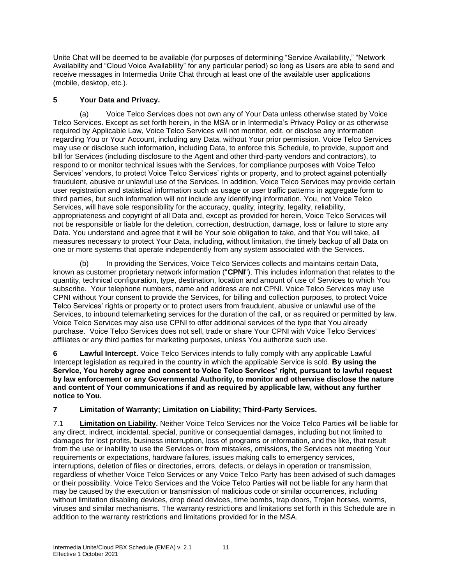Unite Chat will be deemed to be available (for purposes of determining "Service Availability," "Network Availability and "Cloud Voice Availability" for any particular period) so long as Users are able to send and receive messages in Intermedia Unite Chat through at least one of the available user applications (mobile, desktop, etc.).

# **5 Your Data and Privacy.**

(a) Voice Telco Services does not own any of Your Data unless otherwise stated by Voice Telco Services. Except as set forth herein, in the MSA or in Intermedia's Privacy Policy or as otherwise required by Applicable Law, Voice Telco Services will not monitor, edit, or disclose any information regarding You or Your Account, including any Data, without Your prior permission. Voice Telco Services may use or disclose such information, including Data, to enforce this Schedule, to provide, support and bill for Services (including disclosure to the Agent and other third-party vendors and contractors), to respond to or monitor technical issues with the Services, for compliance purposes with Voice Telco Services' vendors, to protect Voice Telco Services' rights or property, and to protect against potentially fraudulent, abusive or unlawful use of the Services. In addition, Voice Telco Services may provide certain user registration and statistical information such as usage or user traffic patterns in aggregate form to third parties, but such information will not include any identifying information. You, not Voice Telco Services, will have sole responsibility for the accuracy, quality, integrity, legality, reliability, appropriateness and copyright of all Data and, except as provided for herein, Voice Telco Services will not be responsible or liable for the deletion, correction, destruction, damage, loss or failure to store any Data. You understand and agree that it will be Your sole obligation to take, and that You will take, all measures necessary to protect Your Data, including, without limitation, the timely backup of all Data on one or more systems that operate independently from any system associated with the Services.

(b) In providing the Services, Voice Telco Services collects and maintains certain Data, known as customer proprietary network information ("**CPNI**"). This includes information that relates to the quantity, technical configuration, type, destination, location and amount of use of Services to which You subscribe. Your telephone numbers, name and address are not CPNI. Voice Telco Services may use CPNI without Your consent to provide the Services, for billing and collection purposes, to protect Voice Telco Services' rights or property or to protect users from fraudulent, abusive or unlawful use of the Services, to inbound telemarketing services for the duration of the call, or as required or permitted by law. Voice Telco Services may also use CPNI to offer additional services of the type that You already purchase. Voice Telco Services does not sell, trade or share Your CPNI with Voice Telco Services' affiliates or any third parties for marketing purposes, unless You authorize such use.

**6 Lawful Intercept.** Voice Telco Services intends to fully comply with any applicable Lawful Intercept legislation as required in the country in which the applicable Service is sold. **By using the Service, You hereby agree and consent to Voice Telco Services' right, pursuant to lawful request by law enforcement or any Governmental Authority, to monitor and otherwise disclose the nature and content of Your communications if and as required by applicable law, without any further notice to You.**

# **7 Limitation of Warranty; Limitation on Liability; Third-Party Services.**

7.1 **Limitation on Liability.** Neither Voice Telco Services nor the Voice Telco Parties will be liable for any direct, indirect, incidental, special, punitive or consequential damages, including but not limited to damages for lost profits, business interruption, loss of programs or information, and the like, that result from the use or inability to use the Services or from mistakes, omissions, the Services not meeting Your requirements or expectations, hardware failures, issues making calls to emergency services, interruptions, deletion of files or directories, errors, defects, or delays in operation or transmission, regardless of whether Voice Telco Services or any Voice Telco Party has been advised of such damages or their possibility. Voice Telco Services and the Voice Telco Parties will not be liable for any harm that may be caused by the execution or transmission of malicious code or similar occurrences, including without limitation disabling devices, drop dead devices, time bombs, trap doors, Trojan horses, worms, viruses and similar mechanisms. The warranty restrictions and limitations set forth in this Schedule are in addition to the warranty restrictions and limitations provided for in the MSA.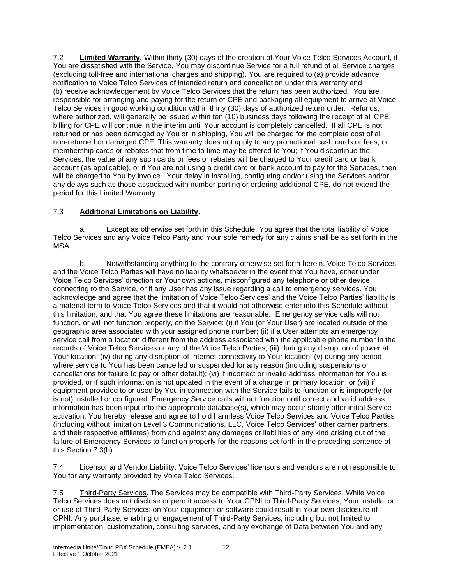7.2 **Limited Warranty.** Within thirty (30) days of the creation of Your Voice Telco Services Account, if You are dissatisfied with the Service, You may discontinue Service for a full refund of all Service charges (excluding toll-free and international charges and shipping). You are required to (a) provide advance notification to Voice Telco Services of intended return and cancellation under this warranty and (b) receive acknowledgement by Voice Telco Services that the return has been authorized. You are responsible for arranging and paying for the return of CPE and packaging all equipment to arrive at Voice Telco Services in good working condition within thirty (30) days of authorized return order. Refunds, where authorized, will generally be issued within ten (10) business days following the receipt of all CPE; billing for CPE will continue in the interim until Your account is completely cancelled. If all CPE is not returned or has been damaged by You or in shipping, You will be charged for the complete cost of all non-returned or damaged CPE. This warranty does not apply to any promotional cash cards or fees, or membership cards or rebates that from time to time may be offered to You; if You discontinue the Services, the value of any such cards or fees or rebates will be charged to Your credit card or bank account (as applicable), or if You are not using a credit card or bank account to pay for the Services, then will be charged to You by invoice. Your delay in installing, configuring and/or using the Services and/or any delays such as those associated with number porting or ordering additional CPE, do not extend the period for this Limited Warranty.

# 7.3 **Additional Limitations on Liability.**

a. Except as otherwise set forth in this Schedule, You agree that the total liability of Voice Telco Services and any Voice Telco Party and Your sole remedy for any claims shall be as set forth in the MSA.

b. Notwithstanding anything to the contrary otherwise set forth herein, Voice Telco Services and the Voice Telco Parties will have no liability whatsoever in the event that You have, either under Voice Telco Services' direction or Your own actions, misconfigured any telephone or other device connecting to the Service, or if any User has any issue regarding a call to emergency services. You acknowledge and agree that the limitation of Voice Telco Services' and the Voice Telco Parties' liability is a material term to Voice Telco Services and that it would not otherwise enter into this Schedule without this limitation, and that You agree these limitations are reasonable. Emergency service calls will not function, or will not function properly, on the Service: (i) if You (or Your User) are located outside of the geographic area associated with your assigned phone number; (ii) if a User attempts an emergency service call from a location different from the address associated with the applicable phone number in the records of Voice Telco Services or any of the Voice Telco Parties; (iii) during any disruption of power at Your location; (iv) during any disruption of Internet connectivity to Your location; (v) during any period where service to You has been cancelled or suspended for any reason (including suspensions or cancellations for failure to pay or other default); (vi) if incorrect or invalid address information for You is provided, or if such information is not updated in the event of a change in primary location; or (vii) if equipment provided to or used by You in connection with the Service fails to function or is improperly (or is not) installed or configured. Emergency Service calls will not function until correct and valid address information has been input into the appropriate database(s), which may occur shortly after initial Service activation. You hereby release and agree to hold harmless Voice Telco Services and Voice Telco Parties (including without limitation Level 3 Communications, LLC, Voice Telco Services' other carrier partners, and their respective affiliates) from and against any damages or liabilities of any kind arising out of the failure of Emergency Services to function properly for the reasons set forth in the preceding sentence of this Section 7.3(b).

7.4 Licensor and Vendor Liability. Voice Telco Services' licensors and vendors are not responsible to You for any warranty provided by Voice Telco Services.

7.5 Third-Party Services. The Services may be compatible with Third-Party Services. While Voice Telco Services does not disclose or permit access to Your CPNI to Third-Party Services, Your installation or use of Third-Party Services on Your equipment or software could result in Your own disclosure of CPNI. Any purchase, enabling or engagement of Third-Party Services, including but not limited to implementation, customization, consulting services, and any exchange of Data between You and any